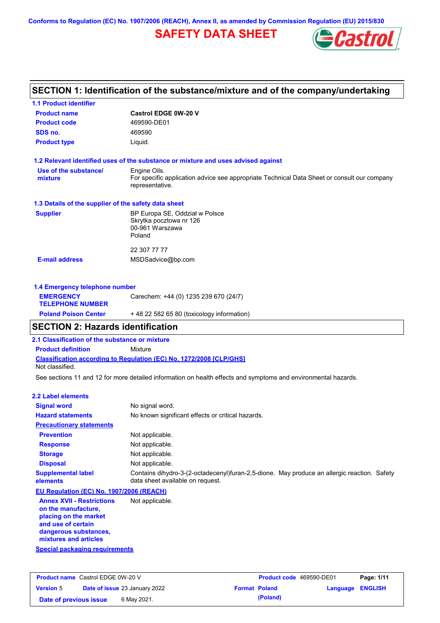**Conforms to Regulation (EC) No. 1907/2006 (REACH), Annex II, as amended by Commission Regulation (EU) 2015/830**

# **SAFETY DATA SHEET**



# **SECTION 1: Identification of the substance/mixture and of the company/undertaking**

| <b>1.1 Product identifier</b>                        |                                                                                                                |
|------------------------------------------------------|----------------------------------------------------------------------------------------------------------------|
| <b>Product name</b>                                  | Castrol EDGE 0W-20 V                                                                                           |
| <b>Product code</b>                                  | 469590-DE01                                                                                                    |
| SDS no.                                              | 469590                                                                                                         |
| <b>Product type</b>                                  | Liquid.                                                                                                        |
|                                                      | 1.2 Relevant identified uses of the substance or mixture and uses advised against                              |
| Use of the substance/                                | Engine Oils.                                                                                                   |
| mixture                                              | For specific application advice see appropriate Technical Data Sheet or consult our company<br>representative. |
| 1.3 Details of the supplier of the safety data sheet |                                                                                                                |
| <b>Supplier</b>                                      | BP Europa SE, Oddział w Polsce                                                                                 |
|                                                      | Skrytka pocztowa nr 126<br>00-961 Warszawa                                                                     |
|                                                      | Poland                                                                                                         |
|                                                      | 22 307 77 77                                                                                                   |
| <b>E-mail address</b>                                | MSDSadvice@bp.com                                                                                              |
| 1.4 Emergency telephone number                       |                                                                                                                |
| <b>EMERGENCY</b>                                     | Carechem: +44 (0) 1235 239 670 (24/7)                                                                          |
| <b>TELEPHONE NUMBER</b>                              |                                                                                                                |

# **SECTION 2: Hazards identification**

**2.1 Classification of the substance or mixture**

**Product definition** Mixture

**Classification according to Regulation (EC) No. 1272/2008 [CLP/GHS]** Not classified.

**Poland Poison Center** + 48 22 582 65 80 (toxicology information)

See sections 11 and 12 for more detailed information on health effects and symptoms and environmental hazards.

#### **2.2 Label elements**

| <b>Signal word</b>                                      | No signal word.                                                                                                                 |
|---------------------------------------------------------|---------------------------------------------------------------------------------------------------------------------------------|
| <b>Hazard statements</b>                                | No known significant effects or critical hazards.                                                                               |
| <b>Precautionary statements</b>                         |                                                                                                                                 |
| <b>Prevention</b>                                       | Not applicable.                                                                                                                 |
| <b>Response</b>                                         | Not applicable.                                                                                                                 |
| <b>Storage</b>                                          | Not applicable.                                                                                                                 |
| <b>Disposal</b>                                         | Not applicable.                                                                                                                 |
| <b>Supplemental label</b><br>elements                   | Contains dihydro-3-(2-octadecenyl)furan-2,5-dione. May produce an allergic reaction. Safety<br>data sheet available on request. |
| EU Regulation (EC) No. 1907/2006 (REACH)                |                                                                                                                                 |
| <b>Annex XVII - Restrictions</b><br>on the manufacture, | Not applicable.                                                                                                                 |

**placing on the market and use of certain dangerous substances, mixtures and articles**

**Special packaging requirements**

| <b>Product name</b> Castrol EDGE 0W-20 V |  | <b>Product code</b> 469590-DE01      |                      | Page: 1/11 |                         |  |
|------------------------------------------|--|--------------------------------------|----------------------|------------|-------------------------|--|
| <b>Version 5</b>                         |  | <b>Date of issue 23 January 2022</b> | <b>Format Poland</b> |            | <b>Language ENGLISH</b> |  |
| Date of previous issue                   |  | 6 May 2021.                          |                      | (Poland)   |                         |  |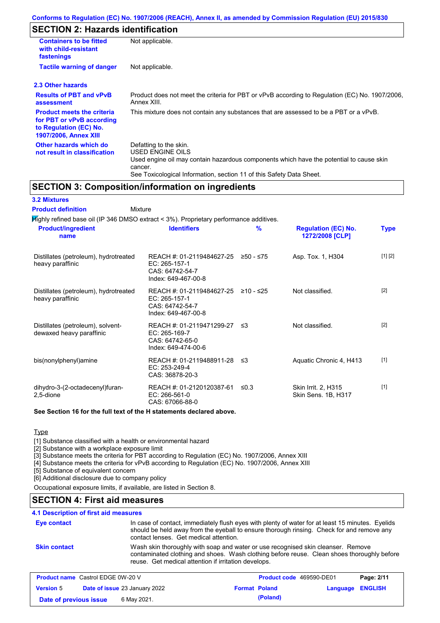# **SECTION 2: Hazards identification**

| <b>Containers to be fitted</b><br>with child-resistant<br>fastenings                                                     | Not applicable.                                                                                                                                                                                                          |  |  |
|--------------------------------------------------------------------------------------------------------------------------|--------------------------------------------------------------------------------------------------------------------------------------------------------------------------------------------------------------------------|--|--|
| <b>Tactile warning of danger</b>                                                                                         | Not applicable.                                                                                                                                                                                                          |  |  |
| 2.3 Other hazards                                                                                                        |                                                                                                                                                                                                                          |  |  |
| <b>Results of PBT and vPvB</b><br>assessment                                                                             | Product does not meet the criteria for PBT or vPvB according to Regulation (EC) No. 1907/2006,<br>Annex XIII.                                                                                                            |  |  |
| <b>Product meets the criteria</b><br>for PBT or vPvB according<br>to Regulation (EC) No.<br><b>1907/2006, Annex XIII</b> | This mixture does not contain any substances that are assessed to be a PBT or a vPvB.                                                                                                                                    |  |  |
| Other hazards which do<br>not result in classification                                                                   | Defatting to the skin.<br>USED ENGINE OILS<br>Used engine oil may contain hazardous components which have the potential to cause skin<br>cancer.<br>See Toxicological Information, section 11 of this Safety Data Sheet. |  |  |

## **SECTION 3: Composition/information on ingredients**

| <b>3.2 Mixtures</b> |  |
|---------------------|--|
|---------------------|--|

Mixture **Product definition**

| $H$ ighly refined base oil (IP 346 DMSO extract < 3%). Proprietary performance additives. |                                                                                         |               |                                               |             |
|-------------------------------------------------------------------------------------------|-----------------------------------------------------------------------------------------|---------------|-----------------------------------------------|-------------|
| <b>Product/ingredient</b><br>name                                                         | <b>Identifiers</b>                                                                      | $\frac{9}{6}$ | <b>Regulation (EC) No.</b><br>1272/2008 [CLP] | <b>Type</b> |
| Distillates (petroleum), hydrotreated<br>heavy paraffinic                                 | REACH #: 01-2119484627-25<br>EC: 265-157-1<br>CAS: 64742-54-7<br>Index: 649-467-00-8    | ≥50 - ≤75     | Asp. Tox. 1, H304                             | [1] [2]     |
| Distillates (petroleum), hydrotreated<br>heavy paraffinic                                 | REACH #: 01-2119484627-25<br>EC: 265-157-1<br>CAS: 64742-54-7<br>Index: 649-467-00-8    | $≥10 - ≤25$   | Not classified.                               | $[2]$       |
| Distillates (petroleum), solvent-<br>dewaxed heavy paraffinic                             | REACH #: 01-2119471299-27 ≤3<br>EC: 265-169-7<br>CAS: 64742-65-0<br>Index: 649-474-00-6 |               | Not classified.                               | $[2]$       |
| bis(nonylphenyl)amine                                                                     | REACH #: 01-2119488911-28<br>EC: 253-249-4<br>CAS: 36878-20-3                           | - ≤3          | Aquatic Chronic 4, H413                       | $[1]$       |
| dihydro-3-(2-octadecenyl)furan-<br>2,5-dione                                              | REACH #: 01-2120120387-61<br>EC: 266-561-0<br>CAS: 67066-88-0                           | $\leq 0.3$    | Skin Irrit. 2, H315<br>Skin Sens. 1B, H317    | $[1]$       |

**See Section 16 for the full text of the H statements declared above.**

**Type** 

[1] Substance classified with a health or environmental hazard

[2] Substance with a workplace exposure limit

[3] Substance meets the criteria for PBT according to Regulation (EC) No. 1907/2006, Annex XIII

[4] Substance meets the criteria for vPvB according to Regulation (EC) No. 1907/2006, Annex XIII

[5] Substance of equivalent concern

[6] Additional disclosure due to company policy

Occupational exposure limits, if available, are listed in Section 8.

# **SECTION 4: First aid measures**

### **4.1 Description of first aid measures**

| Eye contact         | In case of contact, immediately flush eyes with plenty of water for at least 15 minutes. Eyelids<br>should be held away from the eyeball to ensure thorough rinsing. Check for and remove any<br>contact lenses. Get medical attention. |
|---------------------|-----------------------------------------------------------------------------------------------------------------------------------------------------------------------------------------------------------------------------------------|
| <b>Skin contact</b> | Wash skin thoroughly with soap and water or use recognised skin cleanser. Remove<br>contaminated clothing and shoes. Wash clothing before reuse. Clean shoes thoroughly before<br>reuse. Get medical attention if irritation develops.  |

| <b>Product name</b> Castrol EDGE 0W-20 V |                                      |                      | <b>Product code</b> 469590-DE01 |                  | Page: 2/11 |
|------------------------------------------|--------------------------------------|----------------------|---------------------------------|------------------|------------|
| <b>Version 5</b>                         | <b>Date of issue 23 January 2022</b> | <b>Format Poland</b> |                                 | Language ENGLISH |            |
| Date of previous issue                   | 6 May 2021.                          |                      | (Poland)                        |                  |            |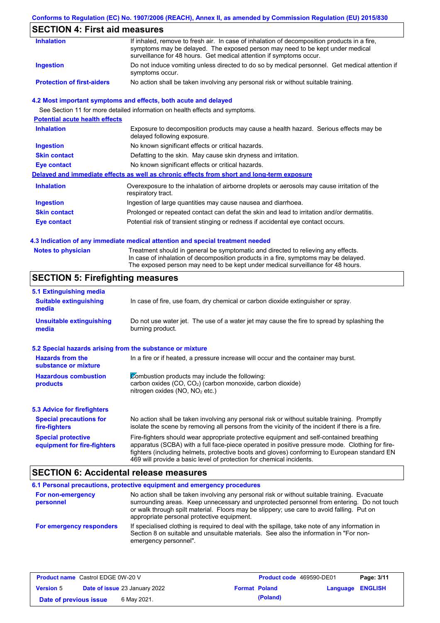### **Conforms to Regulation (EC) No. 1907/2006 (REACH), Annex II, as amended by Commission Regulation (EU) 2015/830**

# **SECTION 4: First aid measures**

| <b>Inhalation</b>                 | If inhaled, remove to fresh air. In case of inhalation of decomposition products in a fire,<br>symptoms may be delayed. The exposed person may need to be kept under medical<br>surveillance for 48 hours. Get medical attention if symptoms occur. |
|-----------------------------------|-----------------------------------------------------------------------------------------------------------------------------------------------------------------------------------------------------------------------------------------------------|
| Ingestion                         | Do not induce vomiting unless directed to do so by medical personnel. Get medical attention if<br>symptoms occur.                                                                                                                                   |
| <b>Protection of first-aiders</b> | No action shall be taken involving any personal risk or without suitable training.                                                                                                                                                                  |

### **4.2 Most important symptoms and effects, both acute and delayed**

See Section 11 for more detailed information on health effects and symptoms.

| <b>Potential acute health effects</b> |                                                                                                                     |
|---------------------------------------|---------------------------------------------------------------------------------------------------------------------|
| <b>Inhalation</b>                     | Exposure to decomposition products may cause a health hazard. Serious effects may be<br>delayed following exposure. |
| <b>Ingestion</b>                      | No known significant effects or critical hazards.                                                                   |
| <b>Skin contact</b>                   | Defatting to the skin. May cause skin dryness and irritation.                                                       |
| Eye contact                           | No known significant effects or critical hazards.                                                                   |
|                                       | Delayed and immediate effects as well as chronic effects from short and long-term exposure                          |
| <b>Inhalation</b>                     | Overexposure to the inhalation of airborne droplets or aerosols may cause irritation of the<br>respiratory tract.   |
| <b>Ingestion</b>                      | Ingestion of large quantities may cause nausea and diarrhoea.                                                       |
| <b>Skin contact</b>                   | Prolonged or repeated contact can defat the skin and lead to irritation and/or dermatitis.                          |
| Eye contact                           | Potential risk of transient stinging or redness if accidental eye contact occurs.                                   |
|                                       |                                                                                                                     |

#### **4.3 Indication of any immediate medical attention and special treatment needed**

| <b>Notes to physician</b> | Treatment should in general be symptomatic and directed to relieving any effects.   |
|---------------------------|-------------------------------------------------------------------------------------|
|                           | In case of inhalation of decomposition products in a fire, symptoms may be delayed. |
|                           | The exposed person may need to be kept under medical surveillance for 48 hours.     |

# **SECTION 5: Firefighting measures**

| 5.1 Extinguishing media                                   |                                                                                                                                                                                                                                                                                                                                                                   |  |  |
|-----------------------------------------------------------|-------------------------------------------------------------------------------------------------------------------------------------------------------------------------------------------------------------------------------------------------------------------------------------------------------------------------------------------------------------------|--|--|
| <b>Suitable extinguishing</b><br>media                    | In case of fire, use foam, dry chemical or carbon dioxide extinguisher or spray.                                                                                                                                                                                                                                                                                  |  |  |
| <b>Unsuitable extinguishing</b><br>media                  | Do not use water jet. The use of a water jet may cause the fire to spread by splashing the<br>burning product.                                                                                                                                                                                                                                                    |  |  |
| 5.2 Special hazards arising from the substance or mixture |                                                                                                                                                                                                                                                                                                                                                                   |  |  |
| <b>Hazards from the</b><br>substance or mixture           | In a fire or if heated, a pressure increase will occur and the container may burst.                                                                                                                                                                                                                                                                               |  |  |
| <b>Hazardous combustion</b><br>products                   | Combustion products may include the following:<br>carbon oxides (CO, CO <sub>2</sub> ) (carbon monoxide, carbon dioxide)<br>nitrogen oxides ( $NO$ , $NO2$ etc.)                                                                                                                                                                                                  |  |  |
| <b>5.3 Advice for firefighters</b>                        |                                                                                                                                                                                                                                                                                                                                                                   |  |  |
| <b>Special precautions for</b><br>fire-fighters           | No action shall be taken involving any personal risk or without suitable training. Promptly<br>isolate the scene by removing all persons from the vicinity of the incident if there is a fire.                                                                                                                                                                    |  |  |
| <b>Special protective</b><br>equipment for fire-fighters  | Fire-fighters should wear appropriate protective equipment and self-contained breathing<br>apparatus (SCBA) with a full face-piece operated in positive pressure mode. Clothing for fire-<br>fighters (including helmets, protective boots and gloves) conforming to European standard EN<br>469 will provide a basic level of protection for chemical incidents. |  |  |

### **SECTION 6: Accidental release measures**

|                                | 6.1 Personal precautions, protective equipment and emergency procedures                                                                                                                                                                                                                                                             |
|--------------------------------|-------------------------------------------------------------------------------------------------------------------------------------------------------------------------------------------------------------------------------------------------------------------------------------------------------------------------------------|
| For non-emergency<br>personnel | No action shall be taken involving any personal risk or without suitable training. Evacuate<br>surrounding areas. Keep unnecessary and unprotected personnel from entering. Do not touch<br>or walk through spilt material. Floors may be slippery; use care to avoid falling. Put on<br>appropriate personal protective equipment. |
| For emergency responders       | If specialised clothing is required to deal with the spillage, take note of any information in<br>Section 8 on suitable and unsuitable materials. See also the information in "For non-<br>emergency personnel".                                                                                                                    |

| <b>Product name</b> Castrol EDGE 0W-20 V |                                      | <b>Product code</b> 469590-DE01 |                         | Page: 3/11 |
|------------------------------------------|--------------------------------------|---------------------------------|-------------------------|------------|
| <b>Version 5</b>                         | <b>Date of issue 23 January 2022</b> | <b>Format Poland</b>            | <b>Language ENGLISH</b> |            |
| Date of previous issue                   | 6 May 2021.                          | (Poland)                        |                         |            |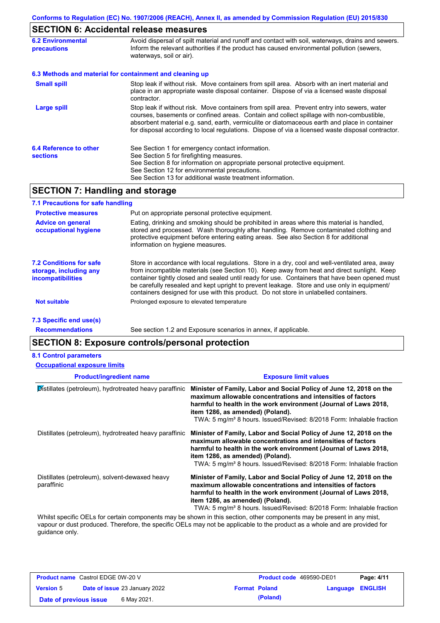# **SECTION 6: Accidental release measures**

| <b>6.2 Environmental</b><br><b>precautions</b> | Avoid dispersal of spilt material and runoff and contact with soil, waterways, drains and sewers.<br>Inform the relevant authorities if the product has caused environmental pollution (sewers,<br>waterways, soil or air).                                                                                                                                                                    |  |
|------------------------------------------------|------------------------------------------------------------------------------------------------------------------------------------------------------------------------------------------------------------------------------------------------------------------------------------------------------------------------------------------------------------------------------------------------|--|
|                                                | 6.3 Methods and material for containment and cleaning up                                                                                                                                                                                                                                                                                                                                       |  |
| <b>Small spill</b>                             | Stop leak if without risk. Move containers from spill area. Absorb with an inert material and<br>place in an appropriate waste disposal container. Dispose of via a licensed waste disposal<br>contractor.                                                                                                                                                                                     |  |
| Large spill                                    | Stop leak if without risk. Move containers from spill area. Prevent entry into sewers, water<br>courses, basements or confined areas. Contain and collect spillage with non-combustible,<br>absorbent material e.g. sand, earth, vermiculite or diatomaceous earth and place in container<br>for disposal according to local regulations. Dispose of via a licensed waste disposal contractor. |  |
| 6.4 Reference to other<br><b>sections</b>      | See Section 1 for emergency contact information.<br>See Section 5 for firefighting measures.<br>See Section 8 for information on appropriate personal protective equipment.<br>See Section 12 for environmental precautions.<br>See Section 13 for additional waste treatment information.                                                                                                     |  |

# **SECTION 7: Handling and storage**

| 7.1 Precautions for safe handling                                                    |                                                                                                                                                                                                                                                                                                                                                                                                                                                                                          |
|--------------------------------------------------------------------------------------|------------------------------------------------------------------------------------------------------------------------------------------------------------------------------------------------------------------------------------------------------------------------------------------------------------------------------------------------------------------------------------------------------------------------------------------------------------------------------------------|
| <b>Protective measures</b>                                                           | Put on appropriate personal protective equipment.                                                                                                                                                                                                                                                                                                                                                                                                                                        |
| <b>Advice on general</b><br>occupational hygiene                                     | Eating, drinking and smoking should be prohibited in areas where this material is handled,<br>stored and processed. Wash thoroughly after handling. Remove contaminated clothing and<br>protective equipment before entering eating areas. See also Section 8 for additional<br>information on hygiene measures.                                                                                                                                                                         |
| <b>7.2 Conditions for safe</b><br>storage, including any<br><i>incompatibilities</i> | Store in accordance with local regulations. Store in a dry, cool and well-ventilated area, away<br>from incompatible materials (see Section 10). Keep away from heat and direct sunlight. Keep<br>container tightly closed and sealed until ready for use. Containers that have been opened must<br>be carefully resealed and kept upright to prevent leakage. Store and use only in equipment/<br>containers designed for use with this product. Do not store in unlabelled containers. |
| <b>Not suitable</b>                                                                  | Prolonged exposure to elevated temperature                                                                                                                                                                                                                                                                                                                                                                                                                                               |
| 7.3 Specific end use(s)                                                              |                                                                                                                                                                                                                                                                                                                                                                                                                                                                                          |
|                                                                                      |                                                                                                                                                                                                                                                                                                                                                                                                                                                                                          |

**Recommendations**

See section 1.2 and Exposure scenarios in annex, if applicable.

# **SECTION 8: Exposure controls/personal protection**

#### **8.1 Control parameters**

| <b>Occupational exposure limits</b>                          |                                                                                                                                                                                                                                                                                                                                 |
|--------------------------------------------------------------|---------------------------------------------------------------------------------------------------------------------------------------------------------------------------------------------------------------------------------------------------------------------------------------------------------------------------------|
| <b>Product/ingredient name</b>                               | <b>Exposure limit values</b>                                                                                                                                                                                                                                                                                                    |
| Distillates (petroleum), hydrotreated heavy paraffinic       | Minister of Family, Labor and Social Policy of June 12, 2018 on the<br>maximum allowable concentrations and intensities of factors<br>harmful to health in the work environment (Journal of Laws 2018,<br>item 1286, as amended) (Poland).<br>TWA: 5 mg/m <sup>3</sup> 8 hours. Issued/Revised: 8/2018 Form: Inhalable fraction |
| Distillates (petroleum), hydrotreated heavy paraffinic       | Minister of Family, Labor and Social Policy of June 12, 2018 on the<br>maximum allowable concentrations and intensities of factors<br>harmful to health in the work environment (Journal of Laws 2018,<br>item 1286, as amended) (Poland).<br>TWA: 5 mg/m <sup>3</sup> 8 hours. Issued/Revised: 8/2018 Form: Inhalable fraction |
| Distillates (petroleum), solvent-dewaxed heavy<br>paraffinic | Minister of Family, Labor and Social Policy of June 12, 2018 on the<br>maximum allowable concentrations and intensities of factors<br>harmful to health in the work environment (Journal of Laws 2018,<br>item 1286, as amended) (Poland).<br>TWA: 5 mg/m <sup>3</sup> 8 hours. Issued/Revised: 8/2018 Form: Inhalable fraction |

Whilst specific OELs for certain components may be shown in this section, other components may be present in any mist, vapour or dust produced. Therefore, the specific OELs may not be applicable to the product as a whole and are provided for guidance only.

| <b>Product name</b> Castrol EDGE 0W-20 V |  |                                      | <b>Product code</b> 469590-DE01<br>Page: 4/11 |                      |                         |  |
|------------------------------------------|--|--------------------------------------|-----------------------------------------------|----------------------|-------------------------|--|
| <b>Version 5</b>                         |  | <b>Date of issue 23 January 2022</b> |                                               | <b>Format Poland</b> | <b>Language ENGLISH</b> |  |
| Date of previous issue                   |  | 6 May 2021.                          |                                               | (Poland)             |                         |  |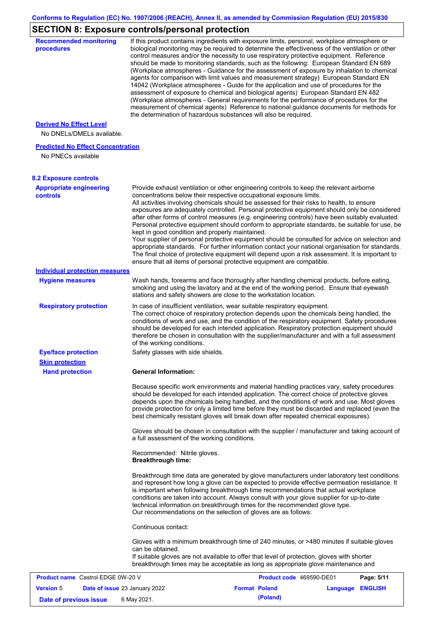# **SECTION 8: Exposure controls/personal protection**

| <b>Recommended monitoring</b><br>procedures                 |                                                           | If this product contains ingredients with exposure limits, personal, workplace atmosphere or<br>biological monitoring may be required to determine the effectiveness of the ventilation or other                                                                                                                                                                                                                                                                                                                                                                                                                                                                                                                                                                                                                                                                                                                                                     |                  |            |
|-------------------------------------------------------------|-----------------------------------------------------------|------------------------------------------------------------------------------------------------------------------------------------------------------------------------------------------------------------------------------------------------------------------------------------------------------------------------------------------------------------------------------------------------------------------------------------------------------------------------------------------------------------------------------------------------------------------------------------------------------------------------------------------------------------------------------------------------------------------------------------------------------------------------------------------------------------------------------------------------------------------------------------------------------------------------------------------------------|------------------|------------|
|                                                             |                                                           | control measures and/or the necessity to use respiratory protective equipment. Reference<br>should be made to monitoring standards, such as the following: European Standard EN 689<br>(Workplace atmospheres - Guidance for the assessment of exposure by inhalation to chemical<br>agents for comparison with limit values and measurement strategy) European Standard EN<br>14042 (Workplace atmospheres - Guide for the application and use of procedures for the<br>assessment of exposure to chemical and biological agents) European Standard EN 482<br>(Workplace atmospheres - General requirements for the performance of procedures for the<br>measurement of chemical agents) Reference to national guidance documents for methods for<br>the determination of hazardous substances will also be required.                                                                                                                               |                  |            |
| <b>Derived No Effect Level</b><br>No DNELs/DMELs available. |                                                           |                                                                                                                                                                                                                                                                                                                                                                                                                                                                                                                                                                                                                                                                                                                                                                                                                                                                                                                                                      |                  |            |
| <b>Predicted No Effect Concentration</b>                    |                                                           |                                                                                                                                                                                                                                                                                                                                                                                                                                                                                                                                                                                                                                                                                                                                                                                                                                                                                                                                                      |                  |            |
| No PNECs available                                          |                                                           |                                                                                                                                                                                                                                                                                                                                                                                                                                                                                                                                                                                                                                                                                                                                                                                                                                                                                                                                                      |                  |            |
| <b>8.2 Exposure controls</b>                                |                                                           |                                                                                                                                                                                                                                                                                                                                                                                                                                                                                                                                                                                                                                                                                                                                                                                                                                                                                                                                                      |                  |            |
| <b>Appropriate engineering</b><br><b>controls</b>           | kept in good condition and properly maintained.           | Provide exhaust ventilation or other engineering controls to keep the relevant airborne<br>concentrations below their respective occupational exposure limits.<br>All activities involving chemicals should be assessed for their risks to health, to ensure<br>exposures are adequately controlled. Personal protective equipment should only be considered<br>after other forms of control measures (e.g. engineering controls) have been suitably evaluated.<br>Personal protective equipment should conform to appropriate standards, be suitable for use, be<br>Your supplier of personal protective equipment should be consulted for advice on selection and<br>appropriate standards. For further information contact your national organisation for standards.<br>The final choice of protective equipment will depend upon a risk assessment. It is important to<br>ensure that all items of personal protective equipment are compatible. |                  |            |
| <b>Individual protection measures</b>                       |                                                           |                                                                                                                                                                                                                                                                                                                                                                                                                                                                                                                                                                                                                                                                                                                                                                                                                                                                                                                                                      |                  |            |
| <b>Hygiene measures</b>                                     |                                                           | Wash hands, forearms and face thoroughly after handling chemical products, before eating,<br>smoking and using the lavatory and at the end of the working period. Ensure that eyewash<br>stations and safety showers are close to the workstation location.                                                                                                                                                                                                                                                                                                                                                                                                                                                                                                                                                                                                                                                                                          |                  |            |
| <b>Respiratory protection</b>                               | of the working conditions.                                | In case of insufficient ventilation, wear suitable respiratory equipment.<br>The correct choice of respiratory protection depends upon the chemicals being handled, the<br>conditions of work and use, and the condition of the respiratory equipment. Safety procedures<br>should be developed for each intended application. Respiratory protection equipment should<br>therefore be chosen in consultation with the supplier/manufacturer and with a full assessment                                                                                                                                                                                                                                                                                                                                                                                                                                                                              |                  |            |
| <b>Eye/face protection</b><br><b>Skin protection</b>        | Safety glasses with side shields.                         |                                                                                                                                                                                                                                                                                                                                                                                                                                                                                                                                                                                                                                                                                                                                                                                                                                                                                                                                                      |                  |            |
| <b>Hand protection</b>                                      | <b>General Information:</b>                               |                                                                                                                                                                                                                                                                                                                                                                                                                                                                                                                                                                                                                                                                                                                                                                                                                                                                                                                                                      |                  |            |
|                                                             |                                                           | Because specific work environments and material handling practices vary, safety procedures<br>should be developed for each intended application. The correct choice of protective gloves<br>depends upon the chemicals being handled, and the conditions of work and use. Most gloves<br>provide protection for only a limited time before they must be discarded and replaced (even the<br>best chemically resistant gloves will break down after repeated chemical exposures).                                                                                                                                                                                                                                                                                                                                                                                                                                                                     |                  |            |
|                                                             | a full assessment of the working conditions.              | Gloves should be chosen in consultation with the supplier / manufacturer and taking account of                                                                                                                                                                                                                                                                                                                                                                                                                                                                                                                                                                                                                                                                                                                                                                                                                                                       |                  |            |
|                                                             | Recommended: Nitrile gloves.<br><b>Breakthrough time:</b> |                                                                                                                                                                                                                                                                                                                                                                                                                                                                                                                                                                                                                                                                                                                                                                                                                                                                                                                                                      |                  |            |
|                                                             |                                                           | Breakthrough time data are generated by glove manufacturers under laboratory test conditions<br>and represent how long a glove can be expected to provide effective permeation resistance. It<br>is important when following breakthrough time recommendations that actual workplace<br>conditions are taken into account. Always consult with your glove supplier for up-to-date<br>technical information on breakthrough times for the recommended glove type.<br>Our recommendations on the selection of gloves are as follows:                                                                                                                                                                                                                                                                                                                                                                                                                   |                  |            |
|                                                             | Continuous contact:                                       |                                                                                                                                                                                                                                                                                                                                                                                                                                                                                                                                                                                                                                                                                                                                                                                                                                                                                                                                                      |                  |            |
|                                                             | can be obtained.                                          | Gloves with a minimum breakthrough time of 240 minutes, or >480 minutes if suitable gloves<br>If suitable gloves are not available to offer that level of protection, gloves with shorter<br>breakthrough times may be acceptable as long as appropriate glove maintenance and                                                                                                                                                                                                                                                                                                                                                                                                                                                                                                                                                                                                                                                                       |                  |            |
| <b>Product name</b> Castrol EDGE 0W-20 V                    |                                                           | Product code 469590-DE01                                                                                                                                                                                                                                                                                                                                                                                                                                                                                                                                                                                                                                                                                                                                                                                                                                                                                                                             |                  | Page: 5/11 |
| <b>Version 5</b><br>Date of issue 23 January 2022           |                                                           | <b>Format Poland</b>                                                                                                                                                                                                                                                                                                                                                                                                                                                                                                                                                                                                                                                                                                                                                                                                                                                                                                                                 | Language ENGLISH |            |
| Date of previous issue                                      | 6 May 2021.                                               | (Poland)                                                                                                                                                                                                                                                                                                                                                                                                                                                                                                                                                                                                                                                                                                                                                                                                                                                                                                                                             |                  |            |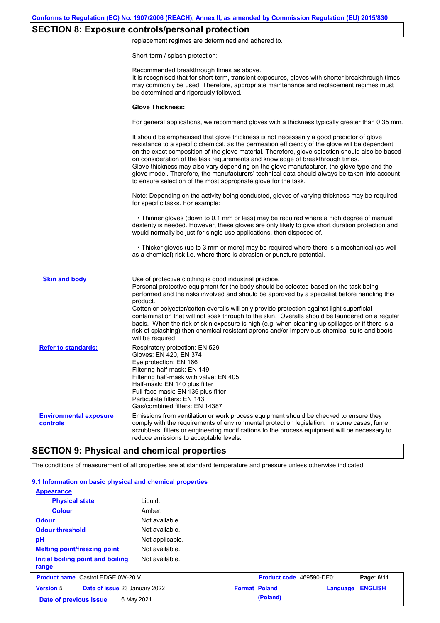# **SECTION 8: Exposure controls/personal protection**

replacement regimes are determined and adhered to.

Short-term / splash protection:

| <b>Environmental exposure</b><br><b>controls</b> | risk of splashing) then chemical resistant aprons and/or impervious chemical suits and boots<br>will be required.<br>Respiratory protection: EN 529<br>Gloves: EN 420, EN 374<br>Eye protection: EN 166<br>Filtering half-mask: EN 149<br>Filtering half-mask with valve: EN 405<br>Half-mask: EN 140 plus filter<br>Full-face mask: EN 136 plus filter<br>Particulate filters: EN 143<br>Gas/combined filters: EN 14387<br>Emissions from ventilation or work process equipment should be checked to ensure they<br>comply with the requirements of environmental protection legislation. In some cases, fume<br>scrubbers, filters or engineering modifications to the process equipment will be necessary to<br>reduce emissions to acceptable levels. |
|--------------------------------------------------|-----------------------------------------------------------------------------------------------------------------------------------------------------------------------------------------------------------------------------------------------------------------------------------------------------------------------------------------------------------------------------------------------------------------------------------------------------------------------------------------------------------------------------------------------------------------------------------------------------------------------------------------------------------------------------------------------------------------------------------------------------------|
|                                                  |                                                                                                                                                                                                                                                                                                                                                                                                                                                                                                                                                                                                                                                                                                                                                           |
| <b>Refer to standards:</b>                       |                                                                                                                                                                                                                                                                                                                                                                                                                                                                                                                                                                                                                                                                                                                                                           |
| <b>Skin and body</b>                             | Use of protective clothing is good industrial practice.<br>Personal protective equipment for the body should be selected based on the task being<br>performed and the risks involved and should be approved by a specialist before handling this<br>product.<br>Cotton or polyester/cotton overalls will only provide protection against light superficial<br>contamination that will not soak through to the skin. Overalls should be laundered on a regular<br>basis. When the risk of skin exposure is high (e.g. when cleaning up spillages or if there is a                                                                                                                                                                                          |
|                                                  | • Thicker gloves (up to 3 mm or more) may be required where there is a mechanical (as well<br>as a chemical) risk i.e. where there is abrasion or puncture potential.                                                                                                                                                                                                                                                                                                                                                                                                                                                                                                                                                                                     |
|                                                  | • Thinner gloves (down to 0.1 mm or less) may be required where a high degree of manual<br>dexterity is needed. However, these gloves are only likely to give short duration protection and<br>would normally be just for single use applications, then disposed of.                                                                                                                                                                                                                                                                                                                                                                                                                                                                                      |
|                                                  | Note: Depending on the activity being conducted, gloves of varying thickness may be required<br>for specific tasks. For example:                                                                                                                                                                                                                                                                                                                                                                                                                                                                                                                                                                                                                          |
|                                                  | It should be emphasised that glove thickness is not necessarily a good predictor of glove<br>resistance to a specific chemical, as the permeation efficiency of the glove will be dependent<br>on the exact composition of the glove material. Therefore, glove selection should also be based<br>on consideration of the task requirements and knowledge of breakthrough times.<br>Glove thickness may also vary depending on the glove manufacturer, the glove type and the<br>glove model. Therefore, the manufacturers' technical data should always be taken into account<br>to ensure selection of the most appropriate glove for the task.                                                                                                         |
|                                                  | For general applications, we recommend gloves with a thickness typically greater than 0.35 mm.                                                                                                                                                                                                                                                                                                                                                                                                                                                                                                                                                                                                                                                            |
|                                                  | <b>Glove Thickness:</b>                                                                                                                                                                                                                                                                                                                                                                                                                                                                                                                                                                                                                                                                                                                                   |
|                                                  | Recommended breakthrough times as above.<br>It is recognised that for short-term, transient exposures, gloves with shorter breakthrough times<br>may commonly be used. Therefore, appropriate maintenance and replacement regimes must<br>be determined and rigorously followed.                                                                                                                                                                                                                                                                                                                                                                                                                                                                          |

The conditions of measurement of all properties are at standard temperature and pressure unless otherwise indicated.

### **9.1 Information on basic physical and chemical properties**

| <b>Appearance</b>                                 |                 |                          |          |                |
|---------------------------------------------------|-----------------|--------------------------|----------|----------------|
| <b>Physical state</b>                             | Liguid.         |                          |          |                |
| Colour                                            | Amber.          |                          |          |                |
| <b>Odour</b>                                      | Not available.  |                          |          |                |
| <b>Odour threshold</b>                            | Not available.  |                          |          |                |
| pH                                                | Not applicable. |                          |          |                |
| <b>Melting point/freezing point</b>               | Not available.  |                          |          |                |
| Initial boiling point and boiling<br>range        | Not available.  |                          |          |                |
| <b>Product name</b> Castrol EDGE 0W-20 V          |                 | Product code 469590-DE01 |          | Page: 6/11     |
| <b>Version 5</b><br>Date of issue 23 January 2022 |                 | <b>Format Poland</b>     | Language | <b>ENGLISH</b> |
| 6 May 2021.<br>Date of previous issue             |                 | (Poland)                 |          |                |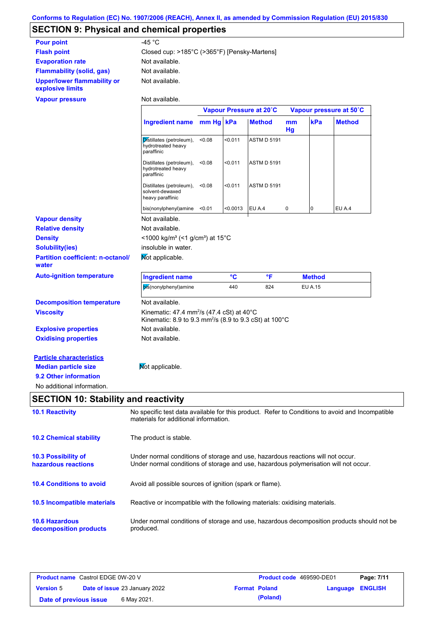# **SECTION 9: Physical and chemical properties**

| <b>Pour point</b>                               | -45 $^{\circ}$ C                             |
|-------------------------------------------------|----------------------------------------------|
| <b>Flash point</b>                              | Closed cup: >185°C (>365°F) [Pensky-Martens] |
| <b>Evaporation rate</b>                         | Not available.                               |
| <b>Flammability (solid, gas)</b>                | Not available.                               |
| Upper/lower flammability or<br>explosive limits | Not available.                               |

#### **Vapour pressure**

Not available.

 $\Gamma$ 

|                                                   |                                                                                                                                                                         | Vapour Pressure at 20°C |          |                    | Vapour pressure at 50°C |                |               |
|---------------------------------------------------|-------------------------------------------------------------------------------------------------------------------------------------------------------------------------|-------------------------|----------|--------------------|-------------------------|----------------|---------------|
|                                                   | Ingredient name mm Hg kPa                                                                                                                                               |                         |          | <b>Method</b>      | mm<br>Hg                | kPa            | <b>Method</b> |
|                                                   | Distillates (petroleum),<br>hydrotreated heavy<br>paraffinic                                                                                                            | < 0.08                  | < 0.011  | <b>ASTM D 5191</b> |                         |                |               |
|                                                   | Distillates (petroleum),<br>hydrotreated heavy<br>paraffinic                                                                                                            | < 0.08                  | < 0.011  | <b>ASTM D 5191</b> |                         |                |               |
|                                                   | Distillates (petroleum),<br>solvent-dewaxed<br>heavy paraffinic                                                                                                         | < 0.08                  | < 0.011  | <b>ASTM D 5191</b> |                         |                |               |
|                                                   | bis(nonylphenyl)amine                                                                                                                                                   | < 0.01                  | < 0.0013 | EU A.4             | $\mathbf 0$             | $\Omega$       | EU A.4        |
| <b>Vapour density</b>                             | Not available.                                                                                                                                                          |                         |          |                    |                         |                |               |
| <b>Relative density</b>                           | Not available.                                                                                                                                                          |                         |          |                    |                         |                |               |
| <b>Density</b>                                    | <1000 kg/m <sup>3</sup> (<1 g/cm <sup>3</sup> ) at 15°C                                                                                                                 |                         |          |                    |                         |                |               |
| <b>Solubility(ies)</b>                            | insoluble in water.                                                                                                                                                     |                         |          |                    |                         |                |               |
| <b>Partition coefficient: n-octanol/</b><br>water | Mot applicable.                                                                                                                                                         |                         |          |                    |                         |                |               |
| <b>Auto-ignition temperature</b>                  | <b>Ingredient name</b>                                                                                                                                                  |                         | °C       | °F                 |                         | <b>Method</b>  |               |
|                                                   | bis(nonylphenyl)amine                                                                                                                                                   |                         | 440      | 824                |                         | <b>EU A.15</b> |               |
| <b>Decomposition temperature</b>                  | Not available.                                                                                                                                                          |                         |          |                    |                         |                |               |
| <b>Viscosity</b>                                  | Kinematic: 47.4 mm <sup>2</sup> /s (47.4 cSt) at $40^{\circ}$ C<br>Kinematic: 8.9 to 9.3 mm <sup>2</sup> /s (8.9 to 9.3 cSt) at 100°C                                   |                         |          |                    |                         |                |               |
| <b>Explosive properties</b>                       | Not available.                                                                                                                                                          |                         |          |                    |                         |                |               |
| <b>Oxidising properties</b>                       | Not available.                                                                                                                                                          |                         |          |                    |                         |                |               |
| <b>Particle characteristics</b>                   |                                                                                                                                                                         |                         |          |                    |                         |                |               |
| <b>Median particle size</b>                       | Not applicable.                                                                                                                                                         |                         |          |                    |                         |                |               |
| 9.2 Other information                             |                                                                                                                                                                         |                         |          |                    |                         |                |               |
| No additional information.                        |                                                                                                                                                                         |                         |          |                    |                         |                |               |
| <b>SECTION 10: Stability and reactivity</b>       |                                                                                                                                                                         |                         |          |                    |                         |                |               |
| <b>10.1 Reactivity</b>                            | No specific test data available for this product. Refer to Conditions to avoid and Incompatible<br>materials for additional information.                                |                         |          |                    |                         |                |               |
| <b>10.2 Chemical stability</b>                    | The product is stable.                                                                                                                                                  |                         |          |                    |                         |                |               |
| <b>10.3 Possibility of</b><br>hazardous reactions | Under normal conditions of storage and use, hazardous reactions will not occur.<br>Under normal conditions of storage and use, hazardous polymerisation will not occur. |                         |          |                    |                         |                |               |

**10.4 Conditions to avoid** Avoid all possible sources of ignition (spark or flame).

**10.5 Incompatible materials** Reactive or incompatible with the following materials: oxidising materials.

| <b>10.6 Hazardous</b>  | Under normal conditions of storage and use, hazardous decomposition products should not be |
|------------------------|--------------------------------------------------------------------------------------------|
| decomposition products | produced.                                                                                  |

| <b>Product name</b> Castrol EDGE 0W-20 V |                                      |             | <b>Product code</b> 469590-DE01 |                      | Page: 7/11              |  |
|------------------------------------------|--------------------------------------|-------------|---------------------------------|----------------------|-------------------------|--|
| <b>Version 5</b>                         | <b>Date of issue 23 January 2022</b> |             |                                 | <b>Format Poland</b> | <b>Language ENGLISH</b> |  |
| Date of previous issue                   |                                      | 6 May 2021. |                                 | (Poland)             |                         |  |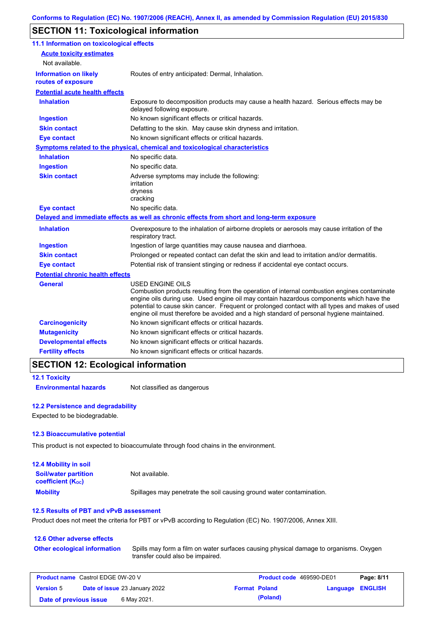# **SECTION 11: Toxicological information**

| 11.1 Information on toxicological effects          |                                                                                                                                                                                                                                                                                                                                                                                                                 |
|----------------------------------------------------|-----------------------------------------------------------------------------------------------------------------------------------------------------------------------------------------------------------------------------------------------------------------------------------------------------------------------------------------------------------------------------------------------------------------|
| <b>Acute toxicity estimates</b>                    |                                                                                                                                                                                                                                                                                                                                                                                                                 |
| Not available.                                     |                                                                                                                                                                                                                                                                                                                                                                                                                 |
| <b>Information on likely</b><br>routes of exposure | Routes of entry anticipated: Dermal, Inhalation.                                                                                                                                                                                                                                                                                                                                                                |
| <b>Potential acute health effects</b>              |                                                                                                                                                                                                                                                                                                                                                                                                                 |
| <b>Inhalation</b>                                  | Exposure to decomposition products may cause a health hazard. Serious effects may be<br>delayed following exposure.                                                                                                                                                                                                                                                                                             |
| <b>Ingestion</b>                                   | No known significant effects or critical hazards.                                                                                                                                                                                                                                                                                                                                                               |
| <b>Skin contact</b>                                | Defatting to the skin. May cause skin dryness and irritation.                                                                                                                                                                                                                                                                                                                                                   |
| <b>Eye contact</b>                                 | No known significant effects or critical hazards.                                                                                                                                                                                                                                                                                                                                                               |
|                                                    | Symptoms related to the physical, chemical and toxicological characteristics                                                                                                                                                                                                                                                                                                                                    |
| <b>Inhalation</b>                                  | No specific data.                                                                                                                                                                                                                                                                                                                                                                                               |
| <b>Ingestion</b>                                   | No specific data.                                                                                                                                                                                                                                                                                                                                                                                               |
| <b>Skin contact</b>                                | Adverse symptoms may include the following:<br>irritation<br>dryness<br>cracking                                                                                                                                                                                                                                                                                                                                |
| <b>Eye contact</b>                                 | No specific data.                                                                                                                                                                                                                                                                                                                                                                                               |
|                                                    | Delayed and immediate effects as well as chronic effects from short and long-term exposure                                                                                                                                                                                                                                                                                                                      |
| <b>Inhalation</b>                                  | Overexposure to the inhalation of airborne droplets or aerosols may cause irritation of the<br>respiratory tract.                                                                                                                                                                                                                                                                                               |
| <b>Ingestion</b>                                   | Ingestion of large quantities may cause nausea and diarrhoea.                                                                                                                                                                                                                                                                                                                                                   |
| <b>Skin contact</b>                                | Prolonged or repeated contact can defat the skin and lead to irritation and/or dermatitis.                                                                                                                                                                                                                                                                                                                      |
| <b>Eye contact</b>                                 | Potential risk of transient stinging or redness if accidental eye contact occurs.                                                                                                                                                                                                                                                                                                                               |
| <b>Potential chronic health effects</b>            |                                                                                                                                                                                                                                                                                                                                                                                                                 |
| <b>General</b>                                     | <b>USED ENGINE OILS</b><br>Combustion products resulting from the operation of internal combustion engines contaminate<br>engine oils during use. Used engine oil may contain hazardous components which have the<br>potential to cause skin cancer. Frequent or prolonged contact with all types and makes of used<br>engine oil must therefore be avoided and a high standard of personal hygiene maintained. |
| <b>Carcinogenicity</b>                             | No known significant effects or critical hazards.                                                                                                                                                                                                                                                                                                                                                               |
| <b>Mutagenicity</b>                                | No known significant effects or critical hazards.                                                                                                                                                                                                                                                                                                                                                               |
| <b>Developmental effects</b>                       | No known significant effects or critical hazards.                                                                                                                                                                                                                                                                                                                                                               |
| <b>Fertility effects</b>                           | No known significant effects or critical hazards.                                                                                                                                                                                                                                                                                                                                                               |

### **SECTION 12: Ecological information**

```
12.1 Toxicity
```
**Environmental hazards** Not classified as dangerous

#### **12.2 Persistence and degradability**

Expected to be biodegradable.

#### **12.3 Bioaccumulative potential**

This product is not expected to bioaccumulate through food chains in the environment.

| <b>12.4 Mobility in soil</b>                            |                                                                      |
|---------------------------------------------------------|----------------------------------------------------------------------|
| <b>Soil/water partition</b><br><b>coefficient (Koc)</b> | Not available.                                                       |
| <b>Mobility</b>                                         | Spillages may penetrate the soil causing ground water contamination. |

#### **12.5 Results of PBT and vPvB assessment**

Product does not meet the criteria for PBT or vPvB according to Regulation (EC) No. 1907/2006, Annex XIII.

### **12.6 Other adverse effects Other ecological information**

Spills may form a film on water surfaces causing physical damage to organisms. Oxygen transfer could also be impaired.

| <b>Product name</b> Castrol EDGE 0W-20 V |                                      |             | Product code 469590-DE01 |                      | Page: 8/11              |  |
|------------------------------------------|--------------------------------------|-------------|--------------------------|----------------------|-------------------------|--|
| <b>Version 5</b>                         | <b>Date of issue 23 January 2022</b> |             |                          | <b>Format Poland</b> | <b>Language ENGLISH</b> |  |
| Date of previous issue                   |                                      | 6 May 2021. |                          | (Poland)             |                         |  |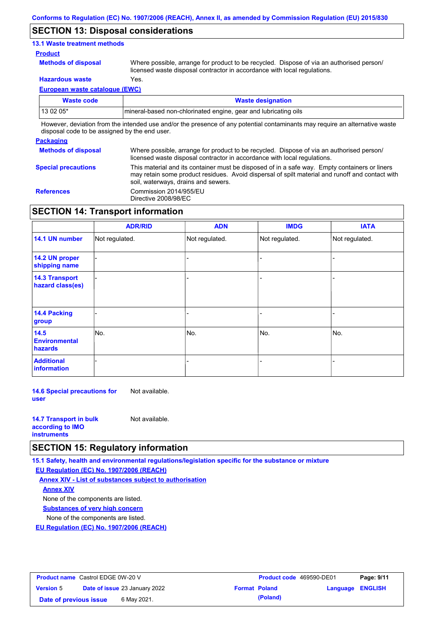### **SECTION 13: Disposal considerations**

### **13.1 Waste treatment methods**

#### **Product**

**Methods of disposal**

Where possible, arrange for product to be recycled. Dispose of via an authorised person/ licensed waste disposal contractor in accordance with local regulations.

**Hazardous waste** Yes.

**European waste catalogue (EWC)**

| Waste code                                                                                                                  | <b>Waste designation</b>                                         |  |  |  |
|-----------------------------------------------------------------------------------------------------------------------------|------------------------------------------------------------------|--|--|--|
| 13 02 05*                                                                                                                   | Imineral-based non-chlorinated engine, gear and lubricating oils |  |  |  |
| However, deviation from the intended use and/or the presence of any potential contaminants may require an alternative waste |                                                                  |  |  |  |

disposal code to be assigned by the end user.

#### **Packaging Methods of disposal Special precautions** Where possible, arrange for product to be recycled. Dispose of via an authorised person/ licensed waste disposal contractor in accordance with local regulations. This material and its container must be disposed of in a safe way. Empty containers or liners may retain some product residues. Avoid dispersal of spilt material and runoff and contact with soil, waterways, drains and sewers. **References** Commission 2014/955/EU Directive 2008/98/EC

# **SECTION 14: Transport information**

|                                           | <b>ADR/RID</b> | <b>ADN</b>     | <b>IMDG</b>    | <b>IATA</b>    |
|-------------------------------------------|----------------|----------------|----------------|----------------|
| 14.1 UN number                            | Not regulated. | Not regulated. | Not regulated. | Not regulated. |
| 14.2 UN proper<br>shipping name           |                |                |                |                |
| <b>14.3 Transport</b><br>hazard class(es) |                |                |                |                |
| 14.4 Packing<br>group                     |                |                |                |                |
| 14.5<br><b>Environmental</b><br>hazards   | No.            | No.            | No.            | No.            |
| <b>Additional</b><br>information          |                |                |                |                |

**14.6 Special precautions for user** Not available.

| <b>14.7 Transport in bulk</b> | Not available. |
|-------------------------------|----------------|
| according to <b>IMO</b>       |                |
| <b>instruments</b>            |                |

# **SECTION 15: Regulatory information**

**15.1 Safety, health and environmental regulations/legislation specific for the substance or mixture**

**EU Regulation (EC) No. 1907/2006 (REACH)**

**Annex XIV - List of substances subject to authorisation Substances of very high concern** None of the components are listed. None of the components are listed. **Annex XIV**

**EU Regulation (EC) No. 1907/2006 (REACH)**

| <b>Product name</b> Castrol EDGE 0W-20 V |                                      |             | <b>Product code</b> 469590-DE01 |                      | Page: 9/11       |  |
|------------------------------------------|--------------------------------------|-------------|---------------------------------|----------------------|------------------|--|
| <b>Version 5</b>                         | <b>Date of issue 23 January 2022</b> |             |                                 | <b>Format Poland</b> | Language ENGLISH |  |
| Date of previous issue                   |                                      | 6 May 2021. |                                 | (Poland)             |                  |  |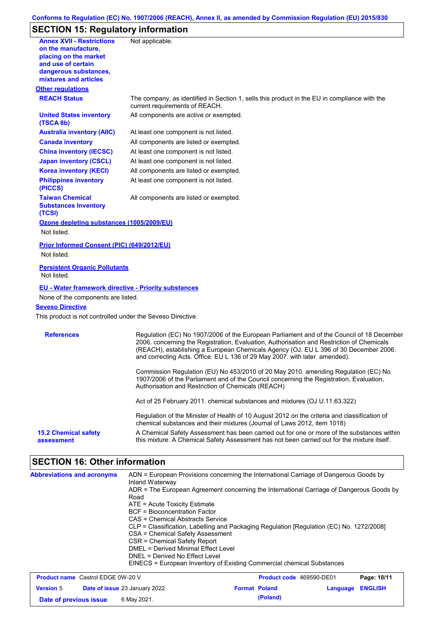#### **Conforms to Regulation (EC) No. 1907/2006 (REACH), Annex II, as amended by Commission Regulation (EU) 2015/830**

# **SECTION 15: Regulatory information**

| <b>Annex XVII - Restrictions</b><br>on the manufacture,         | Not applicable.                                                                                                                                                                                                                                                                                                                                               |
|-----------------------------------------------------------------|---------------------------------------------------------------------------------------------------------------------------------------------------------------------------------------------------------------------------------------------------------------------------------------------------------------------------------------------------------------|
| placing on the market                                           |                                                                                                                                                                                                                                                                                                                                                               |
| and use of certain                                              |                                                                                                                                                                                                                                                                                                                                                               |
| dangerous substances,<br>mixtures and articles                  |                                                                                                                                                                                                                                                                                                                                                               |
| <b>Other regulations</b>                                        |                                                                                                                                                                                                                                                                                                                                                               |
| <b>REACH Status</b>                                             | The company, as identified in Section 1, sells this product in the EU in compliance with the<br>current requirements of REACH.                                                                                                                                                                                                                                |
| <b>United States inventory</b><br>(TSCA 8b)                     | All components are active or exempted.                                                                                                                                                                                                                                                                                                                        |
| <b>Australia inventory (AIIC)</b>                               | At least one component is not listed.                                                                                                                                                                                                                                                                                                                         |
| <b>Canada inventory</b>                                         | All components are listed or exempted.                                                                                                                                                                                                                                                                                                                        |
| <b>China inventory (IECSC)</b>                                  | At least one component is not listed.                                                                                                                                                                                                                                                                                                                         |
| <b>Japan inventory (CSCL)</b>                                   | At least one component is not listed.                                                                                                                                                                                                                                                                                                                         |
| <b>Korea inventory (KECI)</b>                                   | All components are listed or exempted.                                                                                                                                                                                                                                                                                                                        |
| <b>Philippines inventory</b><br>(PICCS)                         | At least one component is not listed.                                                                                                                                                                                                                                                                                                                         |
| <b>Taiwan Chemical</b><br><b>Substances Inventory</b><br>(TCSI) | All components are listed or exempted.                                                                                                                                                                                                                                                                                                                        |
| Ozone depleting substances (1005/2009/EU)                       |                                                                                                                                                                                                                                                                                                                                                               |
| Not listed.                                                     |                                                                                                                                                                                                                                                                                                                                                               |
| Prior Informed Consent (PIC) (649/2012/EU)                      |                                                                                                                                                                                                                                                                                                                                                               |
| Not listed.                                                     |                                                                                                                                                                                                                                                                                                                                                               |
|                                                                 |                                                                                                                                                                                                                                                                                                                                                               |
| <b>Persistent Organic Pollutants</b><br>Not listed.             |                                                                                                                                                                                                                                                                                                                                                               |
| <b>EU - Water framework directive - Priority substances</b>     |                                                                                                                                                                                                                                                                                                                                                               |
| None of the components are listed.                              |                                                                                                                                                                                                                                                                                                                                                               |
| <b>Seveso Directive</b>                                         |                                                                                                                                                                                                                                                                                                                                                               |
| This product is not controlled under the Seveso Directive.      |                                                                                                                                                                                                                                                                                                                                                               |
| <b>References</b>                                               | Regulation (EC) No 1907/2006 of the European Parliament and of the Council of 18 December<br>2006. concerning the Registration, Evaluation, Authorisation and Restriction of Chemicals<br>(REACH), establishing a European Chemicals Agency (OJ. EU L 396 of 30 December 2006.<br>and correcting Acts. Office. EU L 136 of 29 May 2007. with later. amended). |
|                                                                 | Commission Regulation (EU) No 453/2010 of 20 May 2010. amending Regulation (EC) No<br>1907/2006 of the Parliament and of the Council concerning the Registration, Evaluation,<br>Authorisation and Restriction of Chemicals (REACH)                                                                                                                           |
|                                                                 | Act of 25 February 2011. chemical substances and mixtures (OJ U.11.63.322)                                                                                                                                                                                                                                                                                    |
|                                                                 | Regulation of the Minister of Health of 10 August 2012 on the criteria and classification of<br>chemical substances and their mixtures (Journal of Laws 2012, item 1018)                                                                                                                                                                                      |
|                                                                 | A Chemical Safety Assessment has been carried out for one or more of the substances within                                                                                                                                                                                                                                                                    |

# **SECTION 16: Other information**

| <b>Abbreviations and acronyms</b>        | Inland Waterway<br>Road<br>$ATE =$ Acute Toxicity Estimate<br><b>BCF</b> = Bioconcentration Factor<br>CAS = Chemical Abstracts Service<br>CSA = Chemical Safety Assessment<br>CSR = Chemical Safety Report<br>$DMFI = Derived \text{ Minimal Effect}$ l evel<br>DNEL = Derived No Effect Level | ADN = European Provisions concerning the International Carriage of Dangerous Goods by<br>ADR = The European Agreement concerning the International Carriage of Dangerous Goods by<br>CLP = Classification, Labelling and Packaging Regulation [Regulation (EC) No. 1272/2008]<br>EINECS = European Inventory of Existing Commercial chemical Substances |               |
|------------------------------------------|------------------------------------------------------------------------------------------------------------------------------------------------------------------------------------------------------------------------------------------------------------------------------------------------|---------------------------------------------------------------------------------------------------------------------------------------------------------------------------------------------------------------------------------------------------------------------------------------------------------------------------------------------------------|---------------|
| <b>Product name</b> Castrol EDGE 0W-20 V |                                                                                                                                                                                                                                                                                                | <b>Product code</b> 469590-DE01                                                                                                                                                                                                                                                                                                                         | Page: $10/11$ |

| <b>Product name</b> Castrol EDGE 0W-20 V |  |                                      | Product code 469590-DE01 |                      | Page: 10/11      |  |
|------------------------------------------|--|--------------------------------------|--------------------------|----------------------|------------------|--|
| <b>Version 5</b>                         |  | <b>Date of issue 23 January 2022</b> |                          | <b>Format Poland</b> | Language ENGLISH |  |
| Date of previous issue                   |  | 6 May 2021.                          |                          | (Poland)             |                  |  |